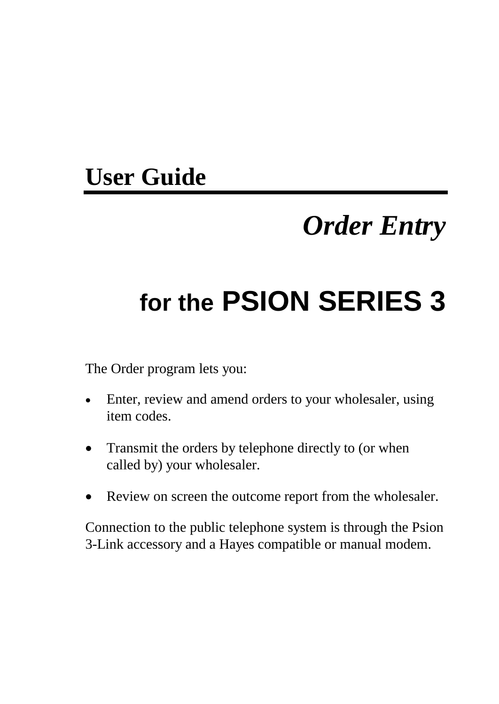# **User Guide**

# *Order Entry*

# **for the PSION SERIES 3**

The Order program lets you:

- Enter, review and amend orders to your wholesaler, using item codes.
- Transmit the orders by telephone directly to (or when called by) your wholesaler.
- Review on screen the outcome report from the wholesaler.

Connection to the public telephone system is through the Psion 3-Link accessory and a Hayes compatible or manual modem.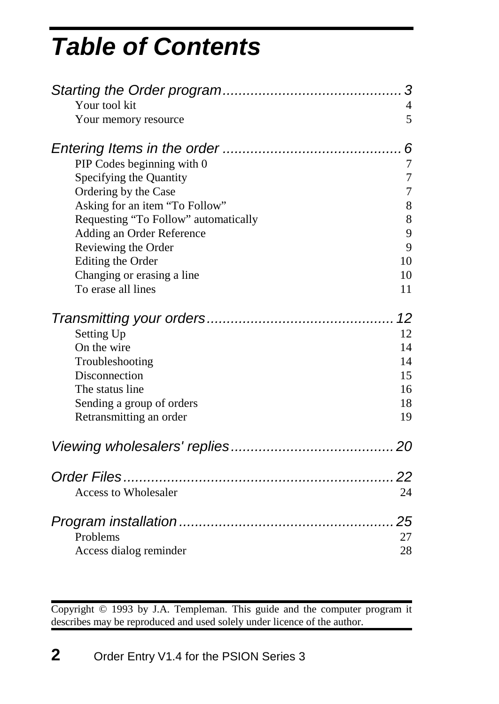# *Table of Cont[ents](#page-9-1)*

| Your tool kit<br>Your memory resource | 3<br>4<br>5 |
|---------------------------------------|-------------|
|                                       | 6           |
| PIP Codes beginning with 0            | 7           |
| Specifying the Quantity               | 7           |
| Ordering by the Case                  | 7           |
| Asking for an item "To Follow"        | 8           |
| Requesting "To Follow" automatically  | $8\,$       |
| Adding an Order Reference             | 9           |
| Reviewing the Order                   | 9           |
| Editing the Order                     | 10          |
| Changing or erasing a line            | 10          |
| To erase all lines                    | 11          |
|                                       | 12          |
| Setting Up                            | 12          |
| On the wire                           | 14          |
| Troubleshooting                       | 14          |
| Disconnection                         | 15          |
| The status line                       | 16          |
| Sending a group of orders             | 18          |
| Retransmitting an order               | 19          |
|                                       |             |
|                                       | 22          |
| <b>Access to Wholesaler</b>           | 24          |
|                                       | 25          |
| Problems                              | 27          |
| Access dialog reminder                | 28          |
|                                       |             |

Copyright © 1993 by J.A. Templeman. This guide and the computer program it describes may be reproduced and used solely under licence of the author.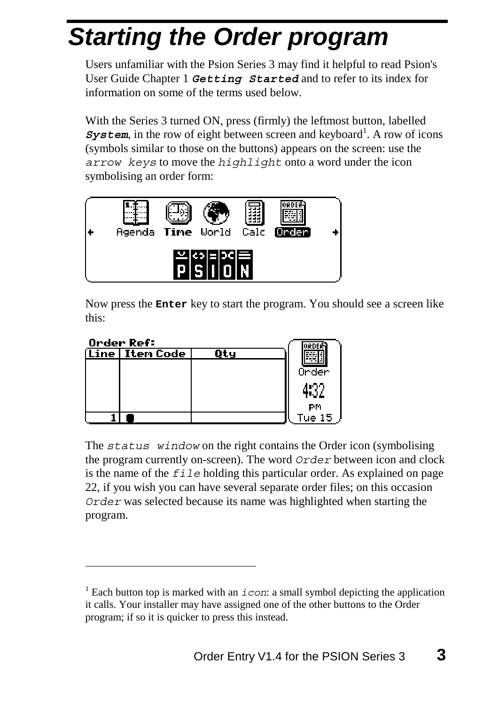# <span id="page-2-0"></span>*Starting the Order program*

Users unfamiliar with the Psion Series 3 may find it helpful to read Psion's User Guide Chapter 1 *Getting Started* and to refer to its index for information on some of the terms used below.

<span id="page-2-1"></span>With the Series 3 turned ON, press (firmly) the leftmost button, labelled **System**, in the row of eight between screen and keyboard<sup>1</sup>. A row of icons (symbols similar to those on the buttons) appears on the screen: use the *arrow keys* to move the *highlight* onto a word under the icon symbolising an order form:



Now press the **Enter** key to start the program. You should see a screen like this:

| Order Ref:        |     |        |
|-------------------|-----|--------|
| (Line   Iten Code | Оtч |        |
|                   |     | Order  |
|                   |     |        |
|                   |     | РM     |
|                   |     | Tue 15 |

 $\overline{a}$ 

The *status window* on the right contains the Order icon (symbolising the program currently on-screen). The word *Order* between icon and clock is the name of the *file* holding this particular order. As explained on page 22, if you wish you can have several separate order files; on this occasion *Order* was selected because its name was highlighted when starting the program.

<sup>&</sup>lt;sup>1</sup> Each button top is marked with an  $i$  con: a small symbol depicting the application it calls. Your installer may have assigned one of the other buttons to the Order program; if so it is quicker to press this instead.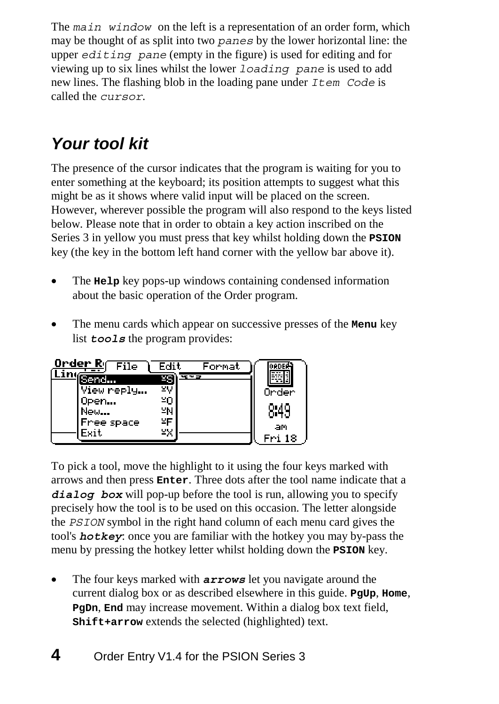The *main window* on the left is a representation of an order form, which may be thought of as split into two *panes* by the lower horizontal line: the upper *editing pane* (empty in the figure) is used for editing and for viewing up to six lines whilst the lower *loading pane* is used to add new lines. The flashing blob in the loading pane under *Item Code* is called the *cursor*.

# *Your tool kit*

The presence of the cursor indicates that the program is waiting for you to enter something at the keyboard; its position attempts to suggest what this might be as it shows where valid input will be placed on the screen. However, wherever possible the program will also respond to the keys listed below. Please note that in order to obtain a key action inscribed on the Series 3 in yellow you must press that key whilst holding down the **PSION** key (the key in the bottom left hand corner with the yellow bar above it).

- The **Help** key pops-up windows containing condensed information about the basic operation of the Order program.
- The menu cards which appear on successive presses of the **Menu** key list **tools** the program provides:

| Order R <sub>I</sub> File | Fdit.        | Format |        |
|---------------------------|--------------|--------|--------|
| Send                      | <b>w</b> + 3 |        |        |
| View neply                |              |        | Onden  |
| Open                      | חצ           |        |        |
| New                       | ≌N           |        | 8:49   |
| Free space                | ¥Ε           |        | am     |
| Exit                      | ¥Х           |        | Fri 18 |

To pick a tool, move the highlight to it using the four keys marked with arrows and then press **Enter**. Three dots after the tool name indicate that a *dialog box* will pop-up before the tool is run, allowing you to specify precisely how the tool is to be used on this occasion. The letter alongside the *PSION* symbol in the right hand column of each menu card gives the tool's *hotkey*: once you are familiar with the hotkey you may by-pass the menu by pressing the hotkey letter whilst holding down the **PSION** key.

• The four keys marked with *arrows* let you navigate around the current dialog box or as described elsewhere in this guide. **PgUp**, **Home**, **PgDn**, **End** may increase movement. Within a dialog box text field, **Shift+arrow** extends the selected (highlighted) text.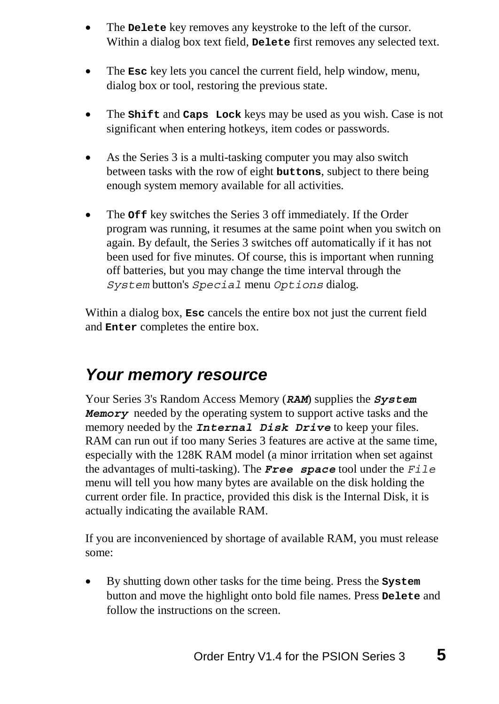- The **Delete** key removes any keystroke to the left of the cursor. Within a dialog box text field, **Delete** first removes any selected text.
- The **Esc** key lets you cancel the current field, help window, menu, dialog box or tool, restoring the previous state.
- <span id="page-4-0"></span>• The **Shift** and **Caps Lock** keys may be used as you wish. Case is not significant when entering hotkeys, item codes or passwords.
- As the Series 3 is a multi-tasking computer you may also switch between tasks with the row of eight **buttons**, subject to there being enough system memory available for all activities.
- The **Off** key switches the Series 3 off immediately. If the Order program was running, it resumes at the same point when you switch on again. By default, the Series 3 switches off automatically if it has not been used for five minutes. Of course, this is important when running off batteries, but you may change the time interval through the *System* button's *Special* menu *Options* dialog.

Within a dialog box, **Esc** cancels the entire box not just the current field and **Enter** completes the entire box.

### *Your memory resource*

Your Series 3's Random Access Memory (*RAM*) supplies the *System Memory* needed by the operating system to support active tasks and the memory needed by the *Internal Disk Drive* to keep your files. RAM can run out if too many Series 3 features are active at the same time, especially with the 128K RAM model (a minor irritation when set against the advantages of multi-tasking). The *Free space* tool under the *File* menu will tell you how many bytes are available on the disk holding the current order file. In practice, provided this disk is the Internal Disk, it is actually indicating the available RAM.

If you are inconvenienced by shortage of available RAM, you must release some:

• By shutting down other tasks for the time being. Press the **System** button and move the highlight onto bold file names. Press **Delete** and follow the instructions on the screen.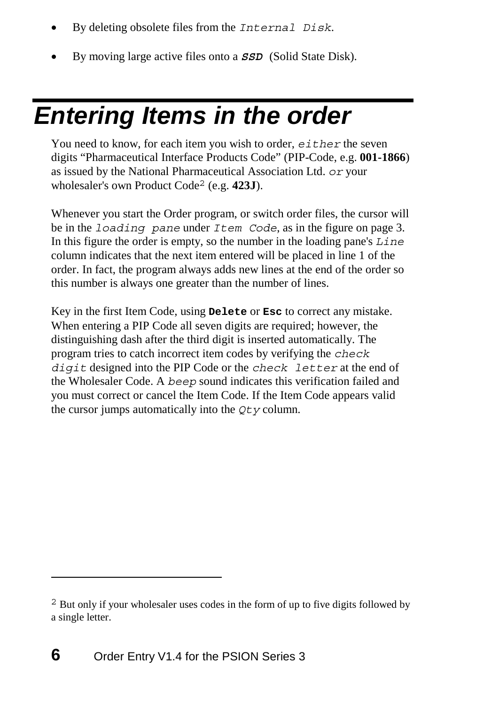- By deleting obsolete files from the *Internal Disk*.
- By moving large active files onto a *SSD* (Solid State Disk).

# *Entering Items in the order*

You need to know, for each item you wish to order, *either* the seven digits "Pharmaceutical Interface Products Code" (PIP-Code, e.g. **001-1866**) as issued by the National Pharmaceutical Association Ltd. *or* your wholesaler's own Product Code2 (e.g. **423J**).

Whenever you start the Order program, or switch order files, the cursor will be in the *loading pane* under *Item Code*, as in the figure on page 3. In this figure the order is empty, so the number in the loading pane's *Line* column indicates that the next item entered will be placed in line 1 of the order. In fact, the program always adds new lines at the end of the order so this number is always one greater than the number of lines.

Key in the first Item Code, using **Delete** or **Esc** to correct any mistake. When entering a PIP Code all seven digits are required; however, the distinguishing dash after the third digit is inserted automatically. The program tries to catch incorrect item codes by verifying the *check digit* designed into the PIP Code or the *check letter* at the end of the Wholesaler Code. A *beep* sound indicates this verification failed and you must correct or cancel the Item Code. If the Item Code appears valid the cursor jumps automatically into the *Qty* column.

 $\overline{a}$ 

<sup>2</sup> But only if your wholesaler uses codes in the form of up to five digits followed by a single letter.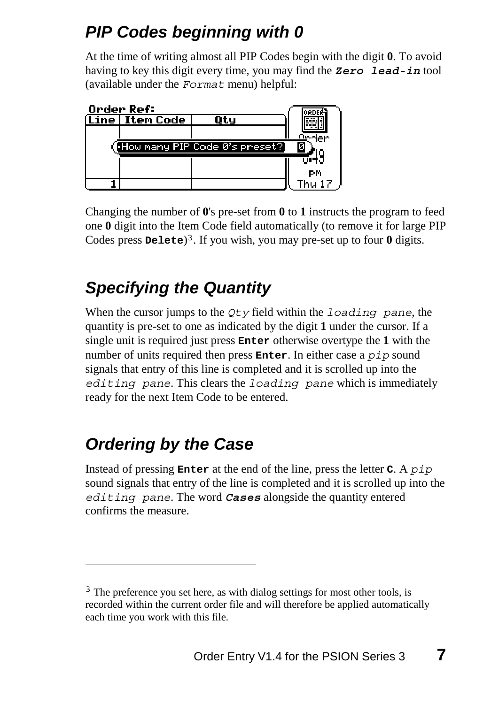## *PIP Codes beginning with 0*

At the time of writing almost all PIP Codes begin with the digit **0**. To avoid having to key this digit every time, you may find the *Zero lead-in* tool (available under the *Format* menu) helpful:



Changing the number of **0**'s pre-set from **0** to **1** instructs the program to feed one **0** digit into the Item Code field automatically (to remove it for large PIP Codes press **Delete**)<sup>3</sup>. If you wish, you may pre-set up to four **0** digits.

# *Specifying the Quantity*

When the cursor jumps to the *Qty* field within the *loading pane*, the quantity is pre-set to one as indicated by the digit **1** under the cursor. If a single unit is required just press **Enter** otherwise overtype the **1** with the number of units required then press **Enter**. In either case a *pip* sound signals that entry of this line is completed and it is scrolled up into the *editing pane*. This clears the *loading pane* which is immediately ready for the next Item Code to be entered.

# *Ordering by the Case*

 $\overline{a}$ 

Instead of pressing **Enter** at the end of the line, press the letter **C**. A *pip* sound signals that entry of the line is completed and it is scrolled up into the *editing pane*. The word *Cases* alongside the quantity entered confirms the measure.

<sup>&</sup>lt;sup>3</sup> The preference you set here, as with dialog settings for most other tools, is recorded within the current order file and will therefore be applied automatically each time you work with this file.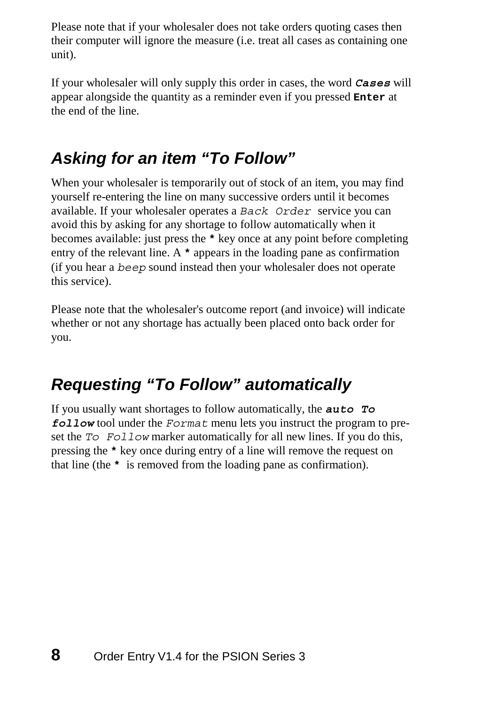Please note that if your wholesaler does not take orders quoting cases then their computer will ignore the measure (i.e. treat all cases as containing one unit).

If your wholesaler will only supply this order in cases, the word *Cases* will appear alongside the quantity as a reminder even if you pressed **Enter** at the end of the line.

## *Asking for an item "To Follow"*

When your wholesaler is temporarily out of stock of an item, you may find yourself re-entering the line on many successive orders until it becomes available. If your wholesaler operates a *Back Order* service you can avoid this by asking for any shortage to follow automatically when it becomes available: just press the **\*** key once at any point before completing entry of the relevant line. A **\*** appears in the loading pane as confirmation (if you hear a *beep* sound instead then your wholesaler does not operate this service).

Please note that the wholesaler's outcome report (and invoice) will indicate whether or not any shortage has actually been placed onto back order for you.

## *Requesting "To Follow" automatically*

If you usually want shortages to follow automatically, the *auto To follow* tool under the *Format* menu lets you instruct the program to preset the *To Follow* marker automatically for all new lines. If you do this, pressing the **\*** key once during entry of a line will remove the request on that line (the **\*** is removed from the loading pane as confirmation).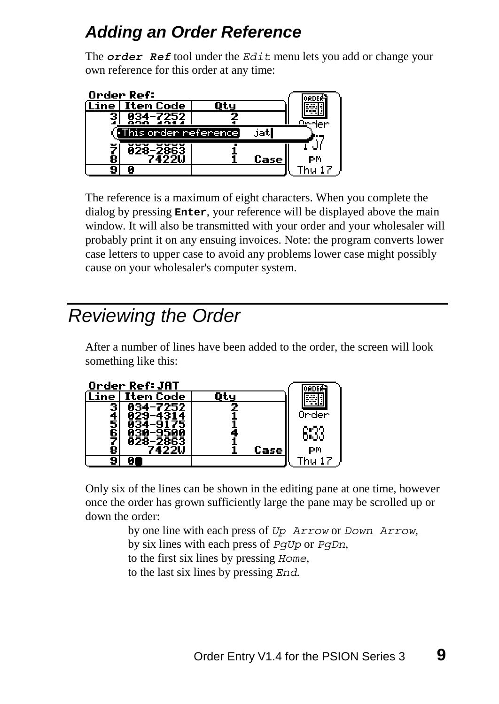## *Adding an Order Reference*

The *order Ref* tool under the *Edit* menu lets you add or change your own reference for this order at any time:

|         | Order Ref:               |       |               |
|---------|--------------------------|-------|---------------|
|         | (Line   Iten Code        |       |               |
|         | 834-7252                 |       |               |
|         | [•This onden nefenence]  | jatl  |               |
| ž<br>è. | <b>Ā28-2863</b><br>7422U | Casel | РM            |
|         |                          |       | <b>Thu 17</b> |

The reference is a maximum of eight characters. When you complete the dialog by pressing **Enter**, your reference will be displayed above the main window. It will also be transmitted with your order and your wholesaler will probably print it on any ensuing invoices. Note: the program converts lower case letters to upper case to avoid any problems lower case might possibly cause on your wholesaler's computer system.

# *Reviewing the Order*

After a number of lines have been added to the order, the screen will look something like this:



Only six of the lines can be shown in the editing pane at one time, however once the order has grown sufficiently large the pane may be scrolled up or down the order:

> by one line with each press of *Up Arrow* or *Down Arrow*, by six lines with each press of *PgUp* or *PgDn*, to the first six lines by pressing *Home*, to the last six lines by pressing *End*.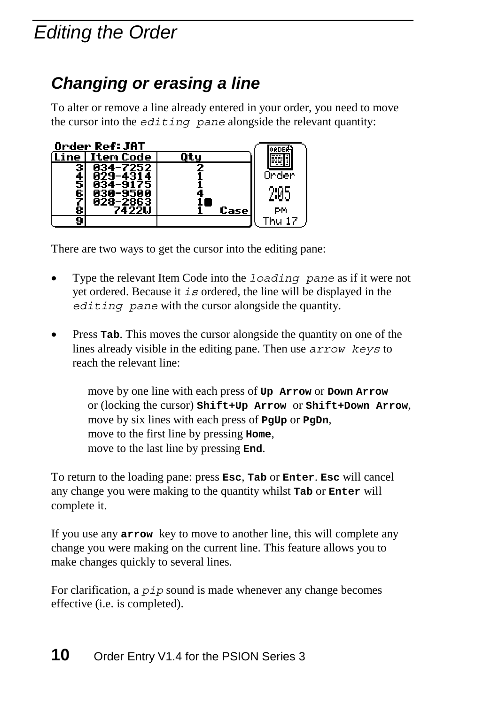# <span id="page-9-1"></span><span id="page-9-0"></span>*Editing the Order*

## *Changing or erasing a line*

To alter or remove a line already entered in your order, you need to move the cursor into the *editing pane* alongside the relevant quantity:



There are two ways to get the cursor into the editing pane:

- Type the relevant Item Code into the *loading pane* as if it were not yet ordered. Because it *is* ordered, the line will be displayed in the *editing pane* with the cursor alongside the quantity.
- **Press Tab.** This moves the cursor alongside the quantity on one of the lines already visible in the editing pane. Then use *arrow keys* to reach the relevant line:

move by one line with each press of **Up Arrow** or **Down Arrow** or (locking the cursor) **Shift+Up Arrow** or **Shift+Down Arrow**, move by six lines with each press of **PgUp** or **PgDn**, move to the first line by pressing **Home**, move to the last line by pressing **End**.

To return to the loading pane: press **Esc**, **Tab** or **Enter**. **Esc** will cancel any change you were making to the quantity whilst **Tab** or **Enter** will complete it.

If you use any **arrow** key to move to another line, this will complete any change you were making on the current line. This feature allows you to make changes quickly to several lines.

For clarification, a *pip* sound is made whenever any change becomes effective (i.e. is completed).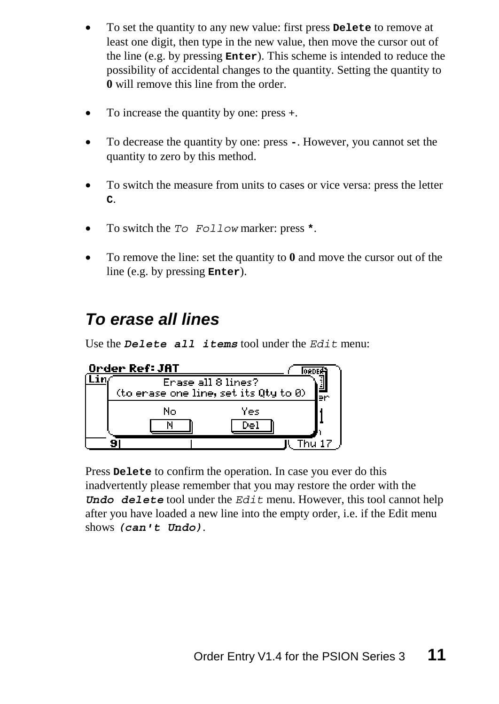- To set the quantity to any new value: first press **Delete** to remove at least one digit, then type in the new value, then move the cursor out of the line (e.g. by pressing **Enter**). This scheme is intended to reduce the possibility of accidental changes to the quantity. Setting the quantity to **0** will remove this line from the order.
- <span id="page-10-0"></span>• To increase the quantity by one: press +.
- To decrease the quantity by one: press **-**. However, you cannot set the quantity to zero by this method.
- To switch the measure from units to cases or vice versa: press the letter **C**.
- To switch the *To Follow* marker: press **\***.
- To remove the line: set the quantity to **0** and move the cursor out of the line (e.g. by pressing **Enter**).

### *To erase all lines*

Use the *Delete all items* tool under the *Edit* menu:



Press **Delete** to confirm the operation. In case you ever do this inadvertently please remember that you may restore the order with the *Undo delete* tool under the *Edit* menu. However, this tool cannot help after you have loaded a new line into the empty order, i.e. if the Edit menu shows *(can't Undo)*.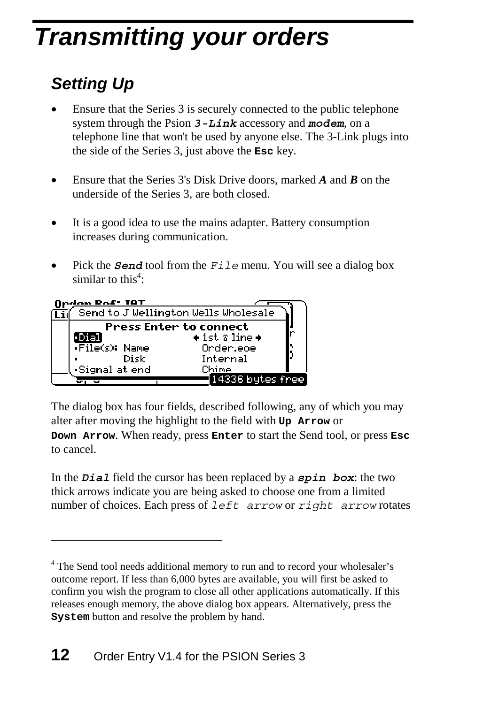# <span id="page-11-1"></span><span id="page-11-0"></span>*Transmitting your or[d](#page-11-2)ers*

# *Setting Up*

 $\overline{a}$ 

- Ensure that the Series 3 is securely connected to the public telephone system through the Psion *3-Link* accessory and *modem*, on a telephone line that won't be used by anyone else. The 3-Link plugs into the side of the Series 3, just above the **Esc** key.
- Ensure that the Series 3's Disk Drive doors, marked *A* and *B* on the underside of the Series 3, are both closed.
- It is a good idea to use the mains adapter. Battery consumption increases during communication.
- Pick the *Send* tool from the *File* menu. You will see a dialog box similar to this<sup>4</sup>:



The dialog box has four fields, described following, any of which you may alter after moving the highlight to the field with **Up Arrow** or **Down Arrow**. When ready, press **Enter** to start the Send tool, or press **Esc** to cancel.

In the *Dial* field the cursor has been replaced by a *spin box*: the two thick arrows indicate you are being asked to choose one from a limited number of choices. Each press of *left arrow* or *right arrow* rotates

<span id="page-11-2"></span><sup>&</sup>lt;sup>4</sup> The Send tool needs additional memory to run and to record your wholesaler's outcome report. If less than 6,000 bytes are available, you will first be asked to confirm you wish the program to close all other applications automatically. If this releases enough memory, the above dialog box appears. Alternatively, press the **System** button and resolve the problem by hand.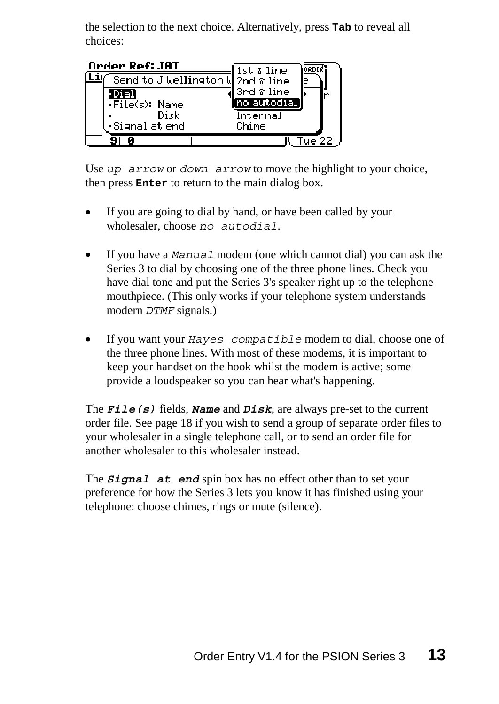the selection to the next choice. Alternatively, press **Tab** to reveal all choices:



Use *up arrow* or *down arrow* to move the highlight to your choice, then press **Enter** to return to the main dialog box.

- If you are going to dial by hand, or have been called by your wholesaler, choose *no autodial*.
- If you have a *Manual* modem (one which cannot dial) you can ask the Series 3 to dial by choosing one of the three phone lines. Check you have dial tone and put the Series 3's speaker right up to the telephone mouthpiece. (This only works if your telephone system understands modern *DTMF* signals.)
- If you want your *Hayes compatible* modem to dial, choose one of the three phone lines. With most of these modems, it is important to keep your handset on the hook whilst the modem is active; some provide a loudspeaker so you can hear what's happening.

The *File(s)* fields, *Name* and *Disk*, are always pre-set to the current order file. See page 18 if you wish to send a group of separate order files to your wholesaler in a single telephone call, or to send an order file for another wholesaler to this wholesaler instead.

The **Signal at end** spin box has no effect other than to set your preference for how the Series 3 lets you know it has finished using your telephone: choose chimes, rings or mute (silence).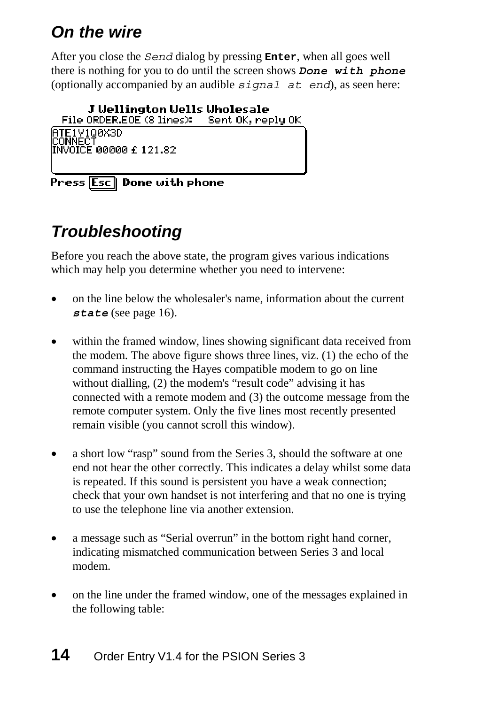# <span id="page-13-1"></span><span id="page-13-0"></span>*On the wire*

After you close the *Send* dialog by pressing **Enter**, when all goes well there is nothing for you to do until the screen shows *Done with phone* (optionally accompanied by an audible *signal a[t e](#page-15-0)nd*), as seen here:

#### J Uellington Uells Uholesale

File ORDER.EOE (8 lines): Sent OK, reply OK

ATE1V100X3D<br>CONNECT<br>INVOICE 00000 £ 121.82

Press Esc Done with phone

# *Troubleshooting*

Before you reach the above state, the program gives various indications which may help you determine whether you need to intervene:

- on the line below the wholesaler's name, information about the current *state* (see page 16).
- within the framed window, lines showing significant data received from the modem. The above figure shows three lines, viz. (1) the echo of the command instructing the Hayes compatible modem to go on line without dialling, (2) the modem's "result code" advising it has connected with a remote modem and (3) the outcome message from the remote computer system. Only the five lines most recently presented remain visible (you cannot scroll this window).
- a short low "rasp" sound from the Series 3, should the software at one end not hear the other correctly. This indicates a delay whilst some data is repeated. If this sound is persistent you have a weak connection; check that your own handset is not interfering and that no one is trying to use the telephone line via another extension.
- a message such as "Serial overrun" in the bottom right hand corner, indicating mismatched communication between Series 3 and local modem.
- on the line under the framed window, one of the messages explained in the following table: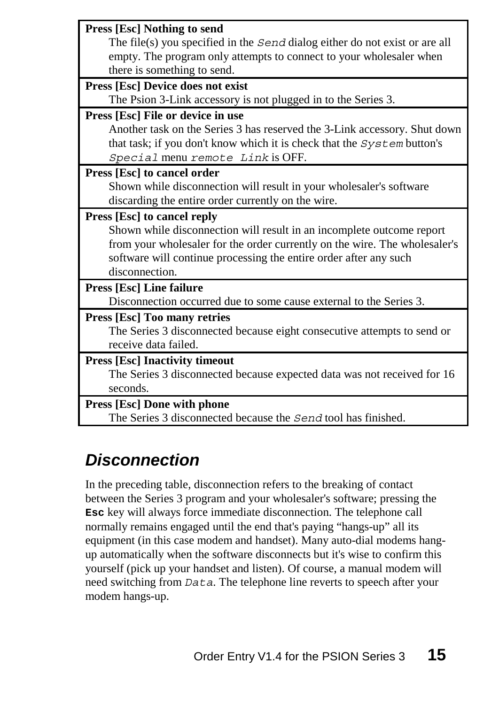<span id="page-14-0"></span>

| <b>Press [Esc] Nothing to send</b><br>The file(s) you specified in the $Send$ dialog either do not exist or are all<br>empty. The program only attempts to connect to your wholesaler when<br>there is something to send.                  |
|--------------------------------------------------------------------------------------------------------------------------------------------------------------------------------------------------------------------------------------------|
|                                                                                                                                                                                                                                            |
| Press [Esc] Device does not exist                                                                                                                                                                                                          |
| The Psion 3-Link accessory is not plugged in to the Series 3.                                                                                                                                                                              |
| Press [Esc] File or device in use                                                                                                                                                                                                          |
| Another task on the Series 3 has reserved the 3-Link accessory. Shut down<br>that task; if you don't know which it is check that the System button's<br>Special menu remote Link is OFF.                                                   |
| Press [Esc] to cancel order                                                                                                                                                                                                                |
| Shown while disconnection will result in your wholesaler's software                                                                                                                                                                        |
| discarding the entire order currently on the wire.                                                                                                                                                                                         |
| Press [Esc] to cancel reply                                                                                                                                                                                                                |
| Shown while disconnection will result in an incomplete outcome report<br>from your wholesaler for the order currently on the wire. The wholesaler's<br>software will continue processing the entire order after any such<br>disconnection. |
| <b>Press [Esc] Line failure</b>                                                                                                                                                                                                            |
| Disconnection occurred due to some cause external to the Series 3.                                                                                                                                                                         |
| <b>Press [Esc] Too many retries</b>                                                                                                                                                                                                        |
| The Series 3 disconnected because eight consecutive attempts to send or                                                                                                                                                                    |
| receive data failed.                                                                                                                                                                                                                       |
|                                                                                                                                                                                                                                            |
| <b>Press [Esc] Inactivity timeout</b>                                                                                                                                                                                                      |
| The Series 3 disconnected because expected data was not received for 16                                                                                                                                                                    |
| seconds.                                                                                                                                                                                                                                   |
| <b>Press [Esc] Done with phone</b>                                                                                                                                                                                                         |
| The Series 3 disconnected because the Send tool has finished.                                                                                                                                                                              |

## *Disconnection*

In the preceding table, disconnection refers to the breaking of contact between the Series 3 program and your wholesaler's software; pressing the **Esc** key will always force immediate disconnection. The telephone call normally remains engaged until the end that's paying "hangs-up" all its equipment (in this case modem and handset). Many auto-dial modems hangup automatically when the software disconnects but it's wise to confirm this yourself (pick up your handset and listen). Of course, a manual modem will need switching from *Data*. The telephone line reverts to speech after your modem hangs-up.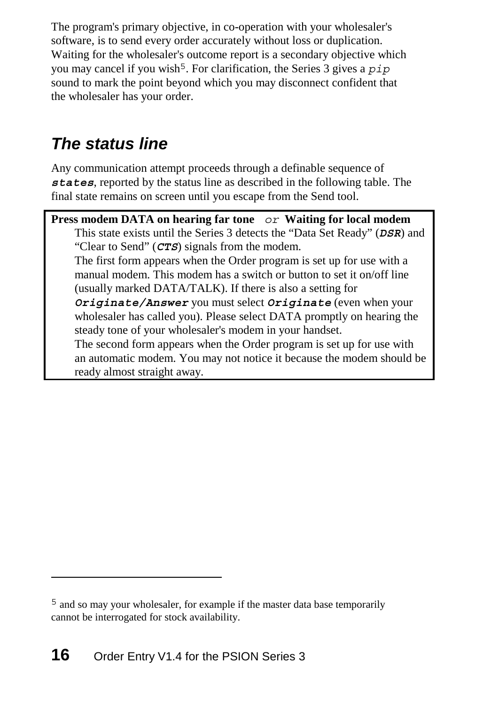<span id="page-15-0"></span>The program's primary objective, in co-operation with your wholesaler's software, is to send every order accurately without loss or duplication. Waiting for the wholesaler's outcome report is a secondary objective which you may cancel if you wish<sup>5</sup>. For clarification, the Series 3 gives a *pip* sound to mark the point beyond which you may disconnect confident that the wholesaler has your order.

## *The status line*

Any communication attempt proceeds through a definable sequence of *states*, reported by the status line as described in the following table. The final state remains on screen until you escape from the Send tool.

**Press modem DATA on hearing far tone** *or* **Waiting for local modem** This state exists until the Series 3 detects the "Data Set Ready" (*DSR*) and "Clear to Send" (*CTS*) signals from the modem. The first form appears when the Order program is set up for use with a manual modem. This modem has a switch or button to set it on/off line (usually marked DATA/TALK). If there is also a setting for *Originate/Answer* you must select *Originate* (even when your wholesaler has called you). Please select DATA promptly on hearing the steady tone of your wholesaler's modem in your handset. The second form appears when the Order program is set up for use with an automatic modem. You may not notice it because the modem should be ready almost straight away.

 $\overline{a}$ 

<sup>5</sup> and so may your wholesaler, for example if the master data base temporarily cannot be interrogated for stock availability.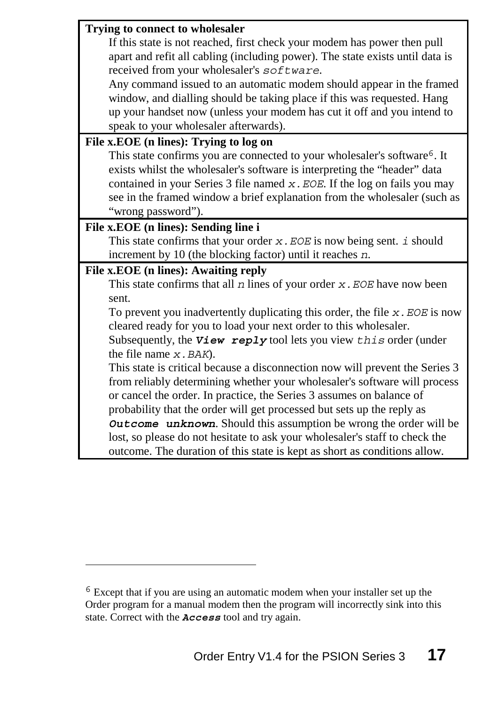| If this state is not reached, first check your modem has power then pull<br>apart and refit all cabling (including power). The state exists until data is<br>received from your wholesaler's software.<br>Any command issued to an automatic modem should appear in the framed<br>window, and dialling should be taking place if this was requested. Hang<br>up your handset now (unless your modem has cut it off and you intend to |
|--------------------------------------------------------------------------------------------------------------------------------------------------------------------------------------------------------------------------------------------------------------------------------------------------------------------------------------------------------------------------------------------------------------------------------------|
|                                                                                                                                                                                                                                                                                                                                                                                                                                      |
|                                                                                                                                                                                                                                                                                                                                                                                                                                      |
|                                                                                                                                                                                                                                                                                                                                                                                                                                      |
|                                                                                                                                                                                                                                                                                                                                                                                                                                      |
|                                                                                                                                                                                                                                                                                                                                                                                                                                      |
|                                                                                                                                                                                                                                                                                                                                                                                                                                      |
| speak to your wholesaler afterwards).                                                                                                                                                                                                                                                                                                                                                                                                |
| File x.EOE (n lines): Trying to log on                                                                                                                                                                                                                                                                                                                                                                                               |
| This state confirms you are connected to your wholesaler's software <sup>6</sup> . It                                                                                                                                                                                                                                                                                                                                                |
| exists whilst the wholesaler's software is interpreting the "header" data                                                                                                                                                                                                                                                                                                                                                            |
| contained in your Series $3$ file named $x$ . EOE. If the log on fails you may                                                                                                                                                                                                                                                                                                                                                       |
| see in the framed window a brief explanation from the wholesaler (such as                                                                                                                                                                                                                                                                                                                                                            |
| "wrong password").                                                                                                                                                                                                                                                                                                                                                                                                                   |
| File x.EOE (n lines): Sending line i                                                                                                                                                                                                                                                                                                                                                                                                 |
| This state confirms that your order $x$ . EOE is now being sent. $i$ should                                                                                                                                                                                                                                                                                                                                                          |
| increment by 10 (the blocking factor) until it reaches $n$ .                                                                                                                                                                                                                                                                                                                                                                         |
| File x.EOE (n lines): Awaiting reply                                                                                                                                                                                                                                                                                                                                                                                                 |
| This state confirms that all $n$ lines of your order $x$ . EOE have now been                                                                                                                                                                                                                                                                                                                                                         |
| sent.                                                                                                                                                                                                                                                                                                                                                                                                                                |
| To prevent you inadvertently duplicating this order, the file $x$ . EOE is now                                                                                                                                                                                                                                                                                                                                                       |
| cleared ready for you to load your next order to this wholesaler.                                                                                                                                                                                                                                                                                                                                                                    |
| Subsequently, the $View$ reply tool lets you view $this$ order (under                                                                                                                                                                                                                                                                                                                                                                |
| the file name $x$ . BAK).                                                                                                                                                                                                                                                                                                                                                                                                            |
| This state is critical because a disconnection now will prevent the Series 3                                                                                                                                                                                                                                                                                                                                                         |
| from reliably determining whether your wholesaler's software will process                                                                                                                                                                                                                                                                                                                                                            |
| or cancel the order. In practice, the Series 3 assumes on balance of                                                                                                                                                                                                                                                                                                                                                                 |
| probability that the order will get processed but sets up the reply as                                                                                                                                                                                                                                                                                                                                                               |
| Outcome unknown. Should this assumption be wrong the order will be                                                                                                                                                                                                                                                                                                                                                                   |
| lost, so please do not hesitate to ask your wholesaler's staff to check the                                                                                                                                                                                                                                                                                                                                                          |
| outcome. The duration of this state is kept as short as conditions allow.                                                                                                                                                                                                                                                                                                                                                            |

 $\overline{a}$ 

<sup>&</sup>lt;sup>6</sup> Except that if you are using an automatic modem when your installer set up the Order program for a manual modem then the program will incorrectly sink into this state. Correct with the *Access* tool and try again.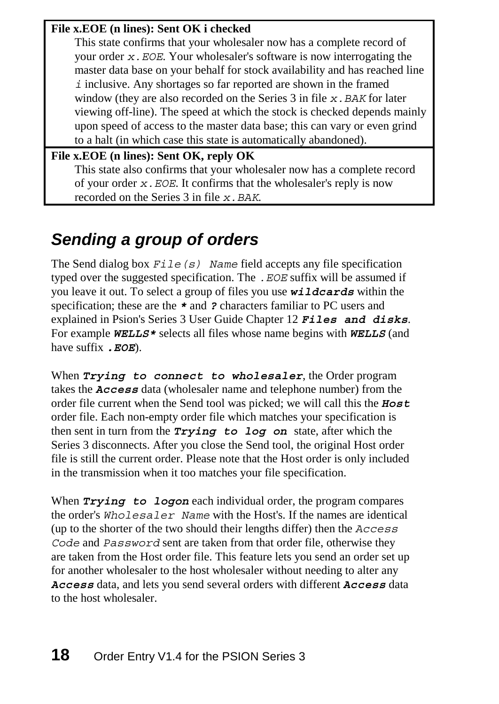#### **File x.EOE (n lines): Sent OK i checked**

<span id="page-17-1"></span><span id="page-17-0"></span>This state confirms that your wholesaler now has a complete record of your order *x.EOE*. Your wholesaler's software is now interrogating the master data base on your behalf for stock availability and has reached line *i* inclusive. Any shortages so far reported are shown in the framed window (they are also recorded on the Series 3 in file *x*. BAK for later viewing off-line). The speed at which the stock is checked depends mainly upon speed of access to the master data base; this can vary or even grind to a halt (in which case this state is automatically abandoned).

#### **File x.EOE (n lines): Sent OK, reply OK** This state also confirms that your wholesaler now has a complete record of your order *x.EOE*. It confirms that the wholesaler's reply is now recorded on the Series 3 in file *x.BAK*.

## *Sending a group of orders*

The Send dialog box *File(s) Name* field accepts any file specification typed over the suggested specification. The *.EOE* suffix will be assumed if you leave it out. To select a group of files you use *wildcards* within the specification; these are the *\** and *?* characters familiar to PC users and explained in Psion's Series 3 User Guide Chapter 12 *Files and disks*. For example *WELLS\** selects all files whose name begins with *WELLS* (and have suffix *.EOE*).

When *Trying to connect to wholesaler*, the Order program takes the *Access* data (wholesaler name and telephone number) from the order file current when the Send tool was picked; we will call this the *Host* order file. Each non-empty order file which matches your specification is then sent in turn from the *Trying to log on* state, after which the Series 3 disconnects. After you close the Send tool, the original Host order file is still the current order. Please note that the Host order is only included in the transmission when it too matches your file specification.

When *Trying to logon* each individual order, the program compares the order's *Wholesaler Name* with the Host's. If the names are identical (up to the shorter of the two should their lengths differ) then the *Access Code* and *Password* sent are taken from that order file, otherwise they are taken from the Host order file. This feature lets you send an order set up for another wholesaler to the host wholesaler without needing to alter any *Access* data, and lets you send several orders with different *Access* data to the host wholesaler.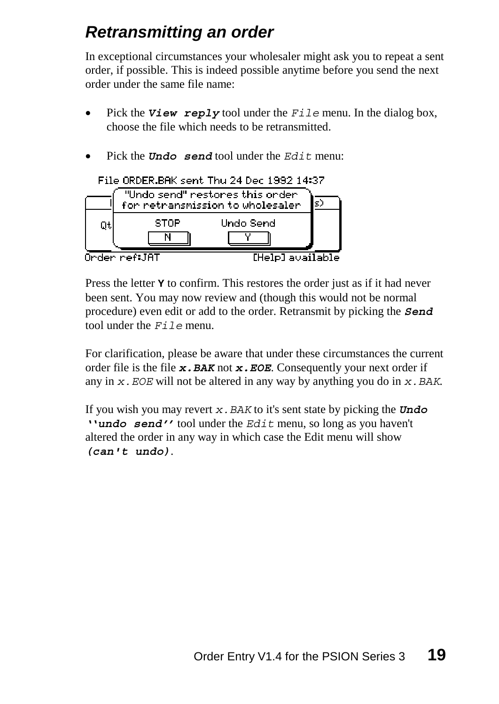## <span id="page-18-0"></span>*Retransmitting an order*

In exceptional circumstances your wholesaler might ask you to repeat a sent order, if possible. This is indeed possible anytime before you send the next order under the same file name:

- Pick the *View reply* tool under the *File* menu. In the dialog box, choose the file which needs to be retransmitted.
- Pick the *Undo send* tool under the *Edit* menu:



Press the letter **Y** to confirm. This restores the order just as if it had never been sent. You may now review and (though this would not be normal procedure) even edit or add to the order. Retransmit by picking the *Send*  tool under the *File* menu.

For clarification, please be aware that under these circumstances the current order file is the file *x.BAK* not *x.EOE*. Consequently your next order if any in *x.EOE* will not be altered in any way by anything you do in *x.BAK*.

If you wish you may revert *x.BAK* to it's sent state by picking the *Undo ''undo send''* tool under the *Edit* menu, so long as you haven't altered the order in any way in which case the Edit menu will show *(can't undo)*.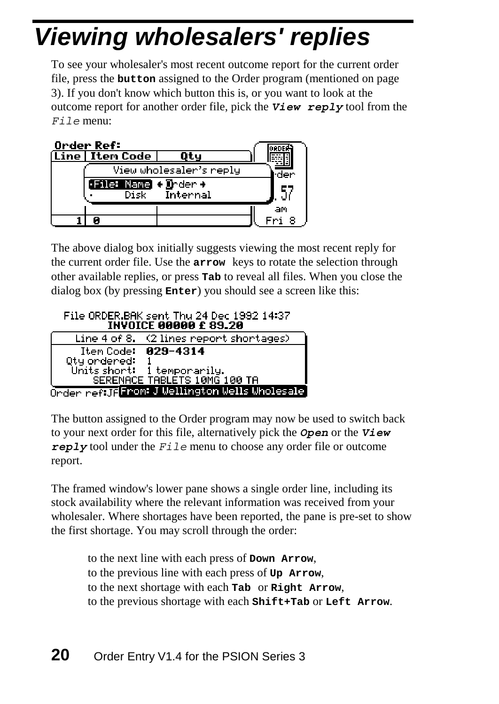# <span id="page-19-0"></span>*Viewing wholesalers' replies*

To see your wholesaler's most recent outcome report for the current order file, press the **button** assigned to the Order program (mentioned on page 3). If you don't know which button this is, or you want to look at the outcome report for another order file, pick the *View reply* tool from the *File* menu:

| Order Ref:                   |                         |    |
|------------------------------|-------------------------|----|
| (Line   Iten Code            | Оtч                     |    |
|                              | View wholesaler's reply |    |
| <b>File: Name + D</b> rder + |                         |    |
|                              | Disk Internal           |    |
|                              |                         | аm |
|                              |                         |    |

The above dialog box initially suggests viewing the most recent reply for the current order file. Use the **arrow** keys to rotate the selection through other available replies, or press **Tab** to reveal all files. When you close the dialog box (by pressing **Enter**) you should see a screen like this:

File ORDER.BAK sent Thu 24 Dec 1992 14:37 **INVOICE 00000 £ 89.20** 

|              | Line 4 of 8. (2 lines report shortages)       |
|--------------|-----------------------------------------------|
|              | Item Code: 029-4314                           |
| Qty ondered: |                                               |
|              | Units short: 1 temporarily.                   |
|              | SERENACE TABLÉTS 10MG 100 TA                  |
|              | Order reftJFFrom J Wellington Wells Wholesale |
|              |                                               |

The button assigned to the Order program may now be used to switch back to your next order for this file, alternatively pick the *Open* or the *View reply* tool under the *File* menu to choose any order file or outcome report.

The framed window's lower pane shows a single order line, including its stock availability where the relevant information was received from your wholesaler. Where shortages have been reported, the pane is pre-set to show the first shortage. You may scroll through the order:

to the next line with each press of **Down Arrow**, to the previous line with each press of **Up Arrow**, to the next shortage with each **Tab** or **Right Arrow**, to the previous shortage with each **Shift+Tab** or **Left Arrow**.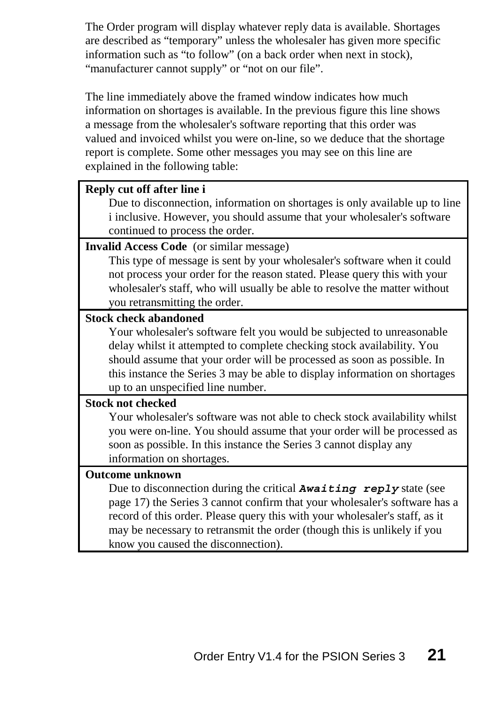The Order program will display whatever reply data is available. Shortages are described as "temporary" unless the wholesaler has given more specific information such as "to follow" (on a back order when next in stock), "manufacturer cannot supply" or "not on our file".

The line immediately above the framed window indicates how much information on shortages is available. In the previous figure this line shows a message from the wholesaler's software reporting that this order was valued and invoiced whilst you were on-line, so we deduce that the shortage report is complete. Some other messages you may see on this line are explained in the following table:

#### **Reply cut off after line i**

Due to disconnection, information on shortages is only available up to line i inclusive. However, you should assume that your wholesaler's software continued to process the order.

#### **Invalid Access Code** (or similar message)

This type of message is sent by your wholesaler's software when it could not process your order for the reas[on st](#page-17-1)ated. Please query this with your wholesaler's staff, who will usually be able to resolve the matter without you retransmitting the order.

#### **Stock check abandoned**

Your wholesaler's software felt you would be subjected to unreasonable delay whilst it attempted to complete checking stock availability. You should assume that your order will be processed as soon as possible. In this instance the Series 3 may be able to display information on shortages up to an unspecified line number.

#### **Stock not checked**

Your wholesaler's software was not able to check stock availability whilst you were on-line. You should assume that your order will be processed as soon as possible. In this instance the Series 3 cannot display any information on shortages.

#### **Outcome unknown**

Due to disconnection during the critical *Awaiting reply* state (see page 17) the Series 3 cannot confirm that your wholesaler's software has a record of this order. Please query this with your wholesaler's staff, as it may be necessary to retransmit the order (though this is unlikely if you know you caused the disconnection).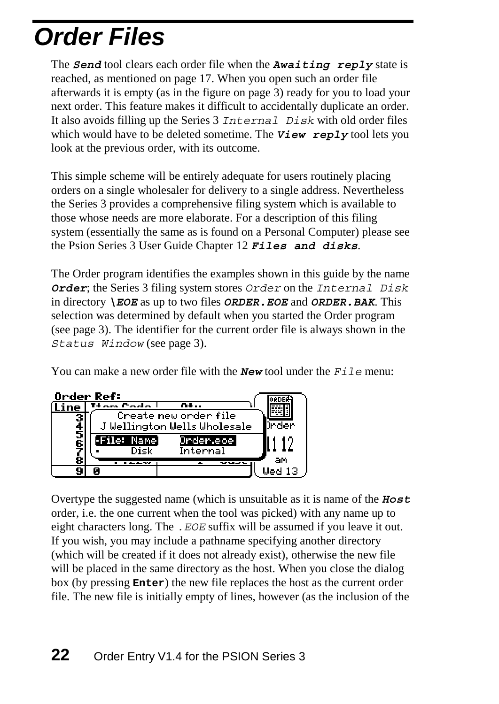# <span id="page-21-0"></span>*Order Files*

The *Send* tool clears each order file when the *Awaiting reply* state is reached, as mentioned on page 17. When you open such an order file afterwards it is empty (as in the figure on page 3) ready for you to load your next order. This feature makes it difficu[lt t](#page-2-0)o accidentally duplicate an order. It also avoids filling up the Series 3 *Internal Disk* wit[h o](#page-2-1)ld order files which would have to be deleted sometime. The **View reply** tool lets you look at the previous order, with its outcome.

This simple scheme will be entirely adequate for users routinely placing orders on a single wholesaler for delivery to a single address. Nevertheless the Series 3 provides a comprehensive filing system which is available to those whose needs are more elaborate. For a description of this filing system (essentially the same as is found on a Personal Computer) please see the Psion Series 3 User Guide Chapter 12 *Files and disks*.

The Order program identifies the examples shown in this guide by the name *Order*; the Series 3 filing system stores *Order* on the *Internal Disk* in directory *\EOE* as up to two files *ORDER.EOE* and *ORDER.BAK*. This selection was determined by default when you started the Order program (see page 3). The identifier for the current order file is always shown in the *Status Window* (see page 3).

You can make a new order file with the *New* tool under the *File* menu:



Overtype the suggested name (which is unsuitable as it is name of the *Host* order, i.e. the one current when the tool was picked) with any name up to eight characters long. The *.EOE* suffix will be assumed if you leave it out. If you wish, you may include a pathname specifying another directory (which will be created if it does not already exist), otherwise the new file will be placed in the same directory as the host. When you close the dialog box (by pressing **Enter**) the new file replaces the host as the current order file. The new file is initially empty of lines, however (as the inclusion of the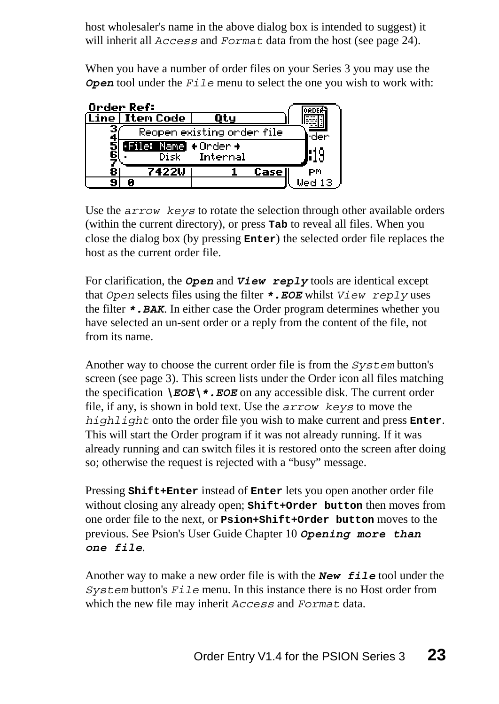host wholesaler's name in the above dialog box is intended to suggest) it will inherit all *Access* and *Format* data from the host (see page 24).

When you have a number of order files on your Series 3 you may use the *Open* tool under the *File* menu to select the one you wish to work with:

|        | Order Ref:           |                            |        |             |
|--------|----------------------|----------------------------|--------|-------------|
|        | Line   Iten Code     |                            |        |             |
|        |                      | Reopen existing onden file |        |             |
| 5<br>6 | File: Name + Order + |                            |        |             |
|        | Disk                 | Internal                   |        |             |
| 8      | 7422U                |                            | Casell | РM          |
|        |                      |                            |        | Ued 13 $\,$ |

Use the *arrow keys* to rotate the selection through other available orders (within the current directory), or press **Tab** to reveal all files. When you close the dialog box (by pressing **Enter**) the selected order file replaces the host as the current order file.

For clarification, the *Open* and *View reply* tools are identical except that *Open* selects files using the filter *\*.EOE* whilst *View reply* uses the filter *\*.BAK*. In either case the Order program determines whether you have selected an un-sent order or a reply from the content of the file, not from its name.

Another way to choose the current order file is from the *System* button's screen (see page 3). This screen lists under the Order icon all files matching the specification  $\E{OE}'$ . EOE on any accessible disk. The current order file, if any, is shown in bold text. Use the *arrow keys* to move the *highlight* onto the order file you wish to make current and press **Enter**. This will start the Order program if it was not already running. If it was already running and can switch files it is restored onto the screen after doing so; otherwise the request is rejected with a "busy" message.

Pressing **Shift+Enter** instead of **Enter** lets you open another order file without closing any already open; **Shift+Order button** then moves from one order file to the next, or **Psion+Shift+Order button** moves to the previous. See Psion's User Guide Chapter 10 *Opening more than one file*.

Another way to make a new order file is with the *New file* tool under the *System* button's *File* menu. In this instance there is no Host order from which the new file may inherit *Access* and *Format* data.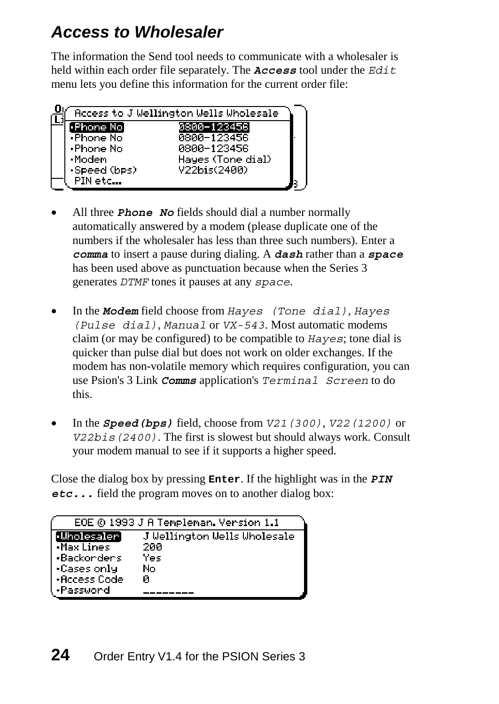## <span id="page-23-0"></span>*Access to Wholesaler*

The information the Send tool needs to communicate with a wholesaler is held within each order file separately. The *Access* tool under the *Edit* menu lets you define this information for the current order file:



- All three *Phone No* fields should dial a number normally automatically answered by a modem (please duplicate one of the numbers if the wholesaler has less than three such numbers). Enter a *comma* to insert a pause during dialing. A *dash* rather than a *space* has been used above as punctuation because when the Series 3 generates *DTMF* tones it pauses at any *space*.
- In the *Modem* field choose from *Hayes (Tone dial)*, *Hayes (Pulse dial)*, *Manual* or *VX-543*. Most automatic modems claim (or may be configured) to be compatible to *Hayes*; tone dial is quicker than pulse dial but does not work on older exchanges. If the modem has non-volatile memory which requires configuration, you can use Psion's 3 Link *Comms* application's *Terminal Screen* to do this.
- In the *Speed(bps)* field, choose from *V21(300)*, *V22(1200)* or *V22bis(2400)*. The first is slowest but should always work. Consult your modem manual to see if it supports a higher speed.

Close the dialog box by pressing **Enter**. If the highlight was in the *PIN etc...* field the program moves on to another dialog box:

|                      | EOE © 1993 J A Templeman. Version 1.1 |
|----------------------|---------------------------------------|
| [·Wholesaler]        | J Wellington Wells Wholesale          |
| Max Lines            | 200                                   |
| l •Backorders        | Yes                                   |
| $\lceil$ •Cases only | No                                    |
| l •Access Codel      | Й                                     |
| l •Password          |                                       |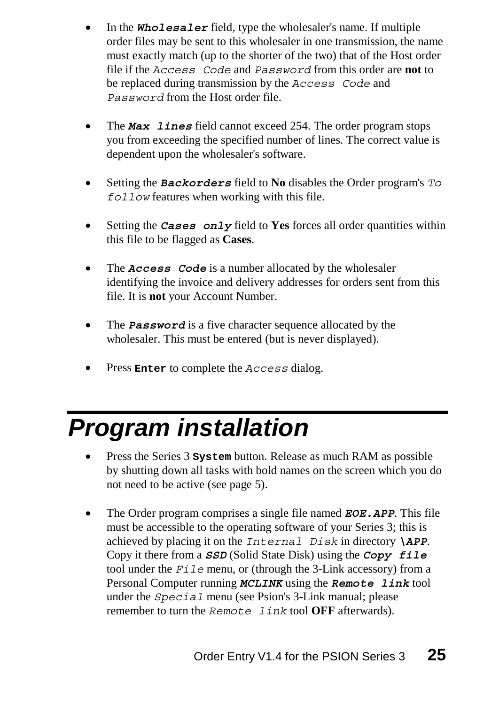- In the *Wholesaler* field, type the wholesaler's name. If multiple order files may be sent to this wholesaler in one transmission, the name must exactly match (up to the shorter of the two) that of the Host order file if the *Access Code* and *Password* from this order are **not** to be replaced during transmission by the *Access Code* and *Password* from the Host order file.
- The *Max lines* field cannot exceed 254. The order program stops you from exceeding the specified number of lines. The correct value is dependent upon the wholesaler's software.
- <span id="page-24-0"></span>• Setting the *Backorders* field to **No** disables the Order program's *To follow* features when working with this file.
- Setting the *Cases* only field to **Yes** forces all order quantities within this file to be flagged as **Cases**.
- •The *Access Code* is a number allocated by the wholesaler identifying the invoice and delivery addresses for orders sent from this file. It is **not** your Account Number.
- The **Password** is a five character sequence allocated by the wholesaler. This must be entered (but is never displayed).
- Press **Enter** to complete the *Access* dialog.

# *Program installation*

- Press the Series 3 **System** button. Release as much RAM as possible by shutting down all tasks with bold names on the screen which you do not need to be active (see page 5).
- The Order program comprises a single file named *EOE.APP*. This file must be accessible to the operating software of your Series 3; this is achieved by placing it on the *Internal Disk* in directory *\APP*. Copy it there from a *SSD* (Solid State Disk) using the *Copy file* tool under the *File* menu, or (through the 3-Link accessory) from a Personal Computer running *MCLINK* using the *Remote link* tool under the *Special* menu (see Psion's 3-Link manual; please remember to turn the *Remote link* tool **OFF** afterwards).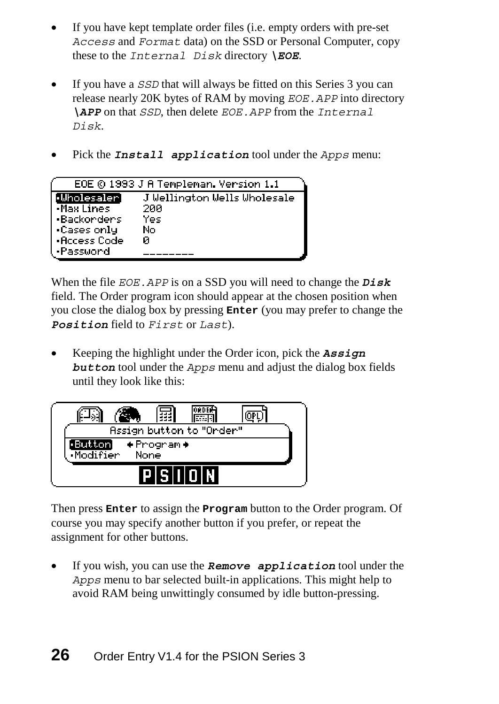- If you have kept template order files (*i.e.* empty orders with pre-set *Access* and *Format* data) on the SSD or Personal Computer, copy these to the *Internal Disk* directory *\EOE*.
- If you have a *SSD* that will always be fitted on this Series 3 you can release nearly 20K bytes of RAM by moving *EOE.APP* into directory *\APP* on that *SSD*, then delete *EOE.APP* from the *Internal Disk*.
- Pick the *Install application* tool under the *Apps* menu:

|              | EOE © 1993 J A Templeman. Version 1.1 |
|--------------|---------------------------------------|
| •Wholesaler] | J Wellington Wells Wholesale          |
| •Max Lines   | 200                                   |
| •Backorders  | Yes                                   |
| •Cases only  | No                                    |
| •Access Code | Й                                     |
| •Password    |                                       |

When the file *EOE.APP* is on a SSD you will need to change the *Disk* field. The Order program icon should appear at the chosen position when you close the dialog box by pressing **Enter** (you may prefer to change the *Position* field to *First* or *Last*).

• Keeping the highlight under the Order icon, pick the *Assign button* tool under the *Apps* menu and adjust the dialog box fields until they look like this:



Then press **Enter** to assign the **Program** button to the Order program. Of course you may specify another button if you prefer, or repeat the assignment for other buttons.

• If you wish, you can use the *Remove application* tool under the *Apps* menu to bar selected built-in applications. This might help to avoid RAM being unwittingly consumed by idle button-pressing.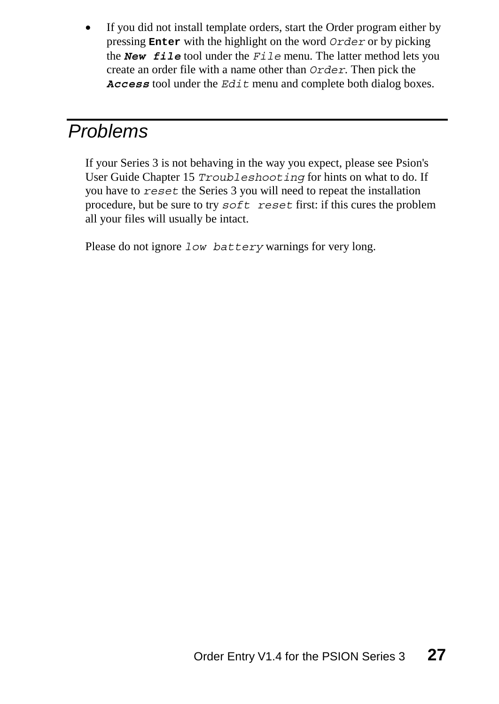If you did not install template orders, start the Order program either by pressing **Enter** with the highlight on the word *Order* or by picking the *New file* tool under the *File* menu. The latter method lets you create an order file with a name other than *Order*. Then pick the *Access* tool under the *Edit* menu and complete both dialog boxes.

## *Problems*

If your Series 3 is not behaving in the way you expect, please see Psion's User Guide Chapter 15 *Troubleshooting* for hints on what to do. If you have to *reset* the Series 3 you will need to repeat the installation procedure, but be sure to try *soft reset* first: if this cures the problem all your files will usually be intact.

Please do not ignore *low battery* warnings for very long.